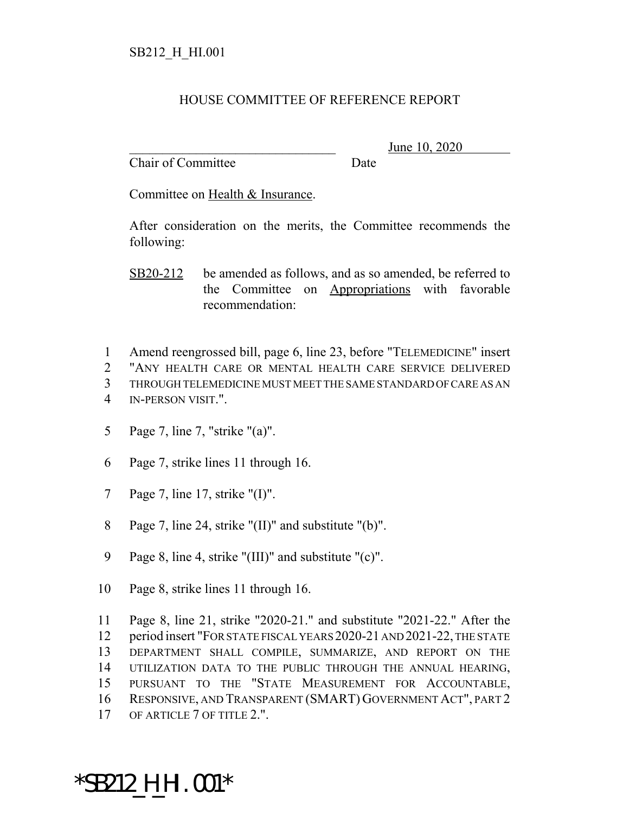## HOUSE COMMITTEE OF REFERENCE REPORT

Chair of Committee Date

June 10, 2020

Committee on Health & Insurance.

After consideration on the merits, the Committee recommends the following:

SB20-212 be amended as follows, and as so amended, be referred to the Committee on Appropriations with favorable recommendation:

1 Amend reengrossed bill, page 6, line 23, before "TELEMEDICINE" insert

2 "ANY HEALTH CARE OR MENTAL HEALTH CARE SERVICE DELIVERED

3 THROUGH TELEMEDICINE MUST MEET THE SAME STANDARD OF CARE AS AN

- 4 IN-PERSON VISIT.".
- 5 Page 7, line 7, "strike "(a)".
- 6 Page 7, strike lines 11 through 16.
- 7 Page 7, line 17, strike "(I)".
- 8 Page 7, line 24, strike "(II)" and substitute "(b)".
- 9 Page 8, line 4, strike "(III)" and substitute "(c)".
- 10 Page 8, strike lines 11 through 16.

 Page 8, line 21, strike "2020-21." and substitute "2021-22." After the period insert "FOR STATE FISCAL YEARS 2020-21 AND 2021-22, THE STATE DEPARTMENT SHALL COMPILE, SUMMARIZE, AND REPORT ON THE UTILIZATION DATA TO THE PUBLIC THROUGH THE ANNUAL HEARING, PURSUANT TO THE "STATE MEASUREMENT FOR ACCOUNTABLE, RESPONSIVE, AND TRANSPARENT (SMART) GOVERNMENT ACT", PART 2 17 OF ARTICLE 7 OF TITLE 2.".